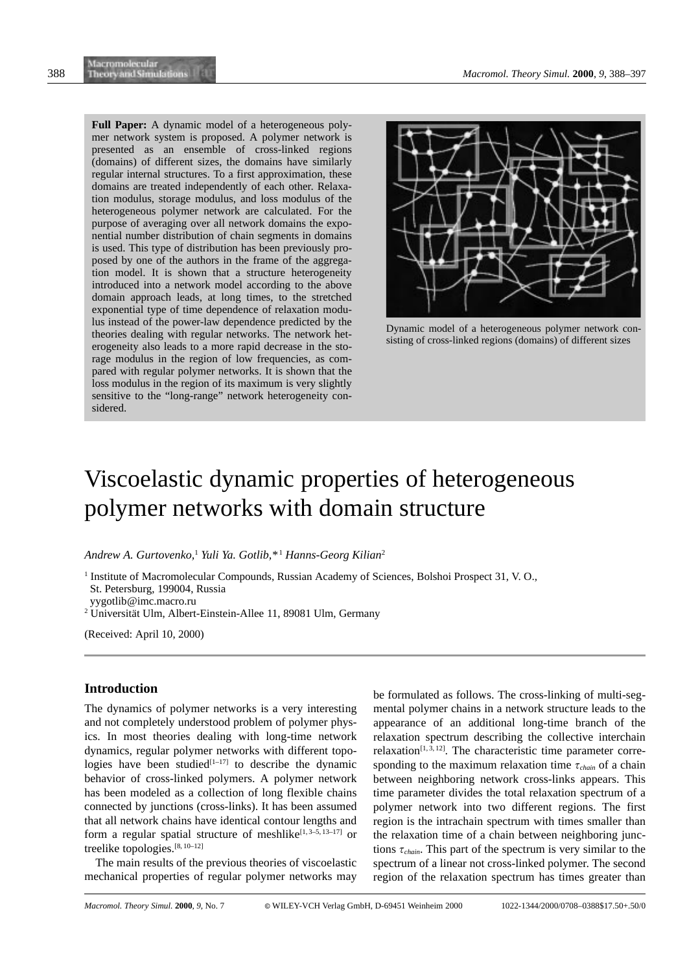**Full Paper:** A dynamic model of a heterogeneous polymer network system is proposed. A polymer network is presented as an ensemble of cross-linked regions (domains) of different sizes, the domains have similarly regular internal structures. To a first approximation, these domains are treated independently of each other. Relaxation modulus, storage modulus, and loss modulus of the heterogeneous polymer network are calculated. For the purpose of averaging over all network domains the exponential number distribution of chain segments in domains is used. This type of distribution has been previously proposed by one of the authors in the frame of the aggregation model. It is shown that a structure heterogeneity introduced into a network model according to the above domain approach leads, at long times, to the stretched exponential type of time dependence of relaxation modulus instead of the power-law dependence predicted by the theories dealing with regular networks. The network heterogeneity also leads to a more rapid decrease in the storage modulus in the region of low frequencies, as compared with regular polymer networks. It is shown that the loss modulus in the region of its maximum is very slightly sensitive to the "long-range" network heterogeneity considered.



Dynamic model of a heterogeneous polymer network consisting of cross-linked regions (domains) of different sizes

# Viscoelastic dynamic properties of heterogeneous polymer networks with domain structure

*Andrew A. Gurtovenko,*<sup>1</sup> *Yuli Ya. Gotlib,\**<sup>1</sup> *Hanns-Georg Kilian*<sup>2</sup>

<sup>1</sup> Institute of Macromolecular Compounds, Russian Academy of Sciences, Bolshoi Prospect 31, V.O., St. Petersburg, 199004, Russia

yygotlib@imc.macro.ru

<sup>2</sup> Universität Ulm, Albert-Einstein-Allee 11, 89081 Ulm, Germany

(Received: April 10, 2000)

## **Introduction**

The dynamics of polymer networks is a very interesting and not completely understood problem of polymer physics. In most theories dealing with long-time network dynamics, regular polymer networks with different topologies have been studied $[1-17]$  to describe the dynamic behavior of cross-linked polymers. A polymer network has been modeled as a collection of long flexible chains connected by junctions (cross-links). It has been assumed that all network chains have identical contour lengths and form a regular spatial structure of meshlike<sup>[1, 3-5, 13-17]</sup> or treelike topologies.[8, 10–12]

The main results of the previous theories of viscoelastic mechanical properties of regular polymer networks may

be formulated as follows. The cross-linking of multi-segmental polymer chains in a network structure leads to the appearance of an additional long-time branch of the relaxation spectrum describing the collective interchain relaxation $[1, 3, 12]$ . The characteristic time parameter corresponding to the maximum relaxation time  $\tau_{chain}$  of a chain between neighboring network cross-links appears. This time parameter divides the total relaxation spectrum of a polymer network into two different regions. The first region is the intrachain spectrum with times smaller than the relaxation time of a chain between neighboring junctions  $\tau_{chain}$ . This part of the spectrum is very similar to the spectrum of a linear not cross-linked polymer. The second region of the relaxation spectrum has times greater than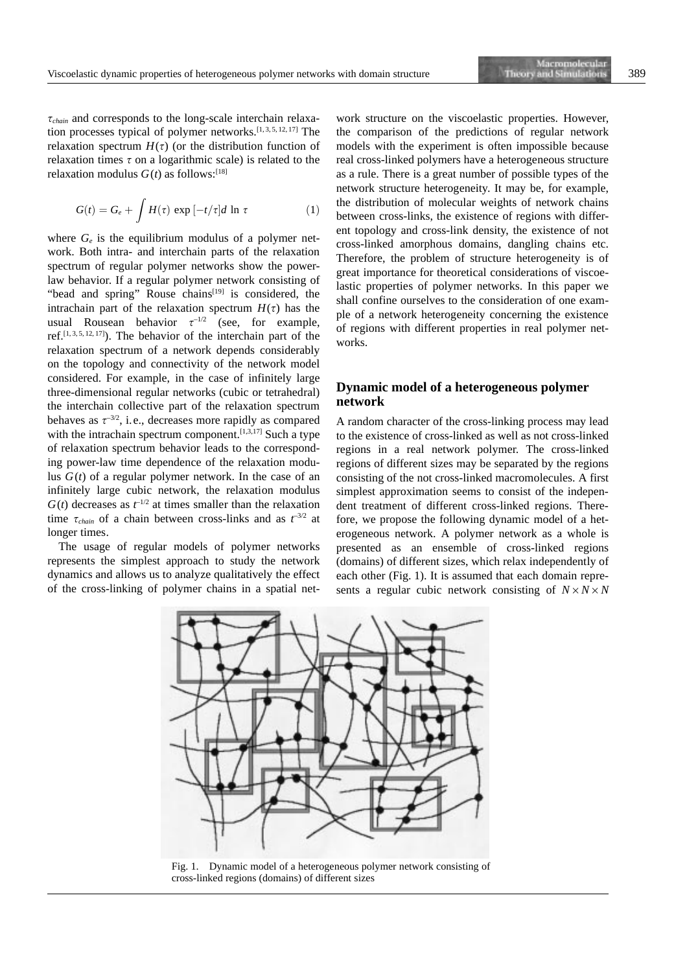$\tau_{chain}$  and corresponds to the long-scale interchain relaxation processes typical of polymer networks.<sup>[1,3,5,12,17]</sup> The relaxation spectrum  $H(\tau)$  (or the distribution function of relaxation times  $\tau$  on a logarithmic scale) is related to the relaxation modulus  $G(t)$  as follows:<sup>[18]</sup>

$$
G(t) = G_e + \int H(\tau) \exp[-t/\tau] d \ln \tau \qquad (1)
$$

where  $G_e$  is the equilibrium modulus of a polymer network. Both intra- and interchain parts of the relaxation spectrum of regular polymer networks show the powerlaw behavior. If a regular polymer network consisting of "bead and spring" Rouse chains<sup>[19]</sup> is considered, the intrachain part of the relaxation spectrum  $H(\tau)$  has the usual Rousean behavior  $\tau^{-1/2}$  (see, for example, ref.<sup>[1, 3, 5, 12, 17]</sup>). The behavior of the interchain part of the relaxation spectrum of a network depends considerably on the topology and connectivity of the network model considered. For example, in the case of infinitely large three-dimensional regular networks (cubic or tetrahedral) the interchain collective part of the relaxation spectrum behaves as  $\tau^{-3/2}$ , i.e., decreases more rapidly as compared with the intrachain spectrum component.<sup>[1,3,17]</sup> Such a type of relaxation spectrum behavior leads to the corresponding power-law time dependence of the relaxation modulus  $G(t)$  of a regular polymer network. In the case of an infinitely large cubic network, the relaxation modulus  $G(t)$  decreases as  $t^{-1/2}$  at times smaller than the relaxation time  $\tau_{chain}$  of a chain between cross-links and as  $t^{-3/2}$  at longer times.

The usage of regular models of polymer networks represents the simplest approach to study the network dynamics and allows us to analyze qualitatively the effect of the cross-linking of polymer chains in a spatial network structure on the viscoelastic properties. However, the comparison of the predictions of regular network models with the experiment is often impossible because real cross-linked polymers have a heterogeneous structure as a rule. There is a great number of possible types of the network structure heterogeneity. It may be, for example, the distribution of molecular weights of network chains between cross-links, the existence of regions with different topology and cross-link density, the existence of not cross-linked amorphous domains, dangling chains etc. Therefore, the problem of structure heterogeneity is of great importance for theoretical considerations of viscoelastic properties of polymer networks. In this paper we shall confine ourselves to the consideration of one example of a network heterogeneity concerning the existence of regions with different properties in real polymer networks.

## **Dynamic model of a heterogeneous polymer network**

A random character of the cross-linking process may lead to the existence of cross-linked as well as not cross-linked regions in a real network polymer. The cross-linked regions of different sizes may be separated by the regions consisting of the not cross-linked macromolecules. A first simplest approximation seems to consist of the independent treatment of different cross-linked regions. Therefore, we propose the following dynamic model of a heterogeneous network. A polymer network as a whole is presented as an ensemble of cross-linked regions (domains) of different sizes, which relax independently of each other (Fig. 1). It is assumed that each domain represents a regular cubic network consisting of  $N \times N \times N$ 



Fig. 1. Dynamic model of a heterogeneous polymer network consisting of cross-linked regions (domains) of different sizes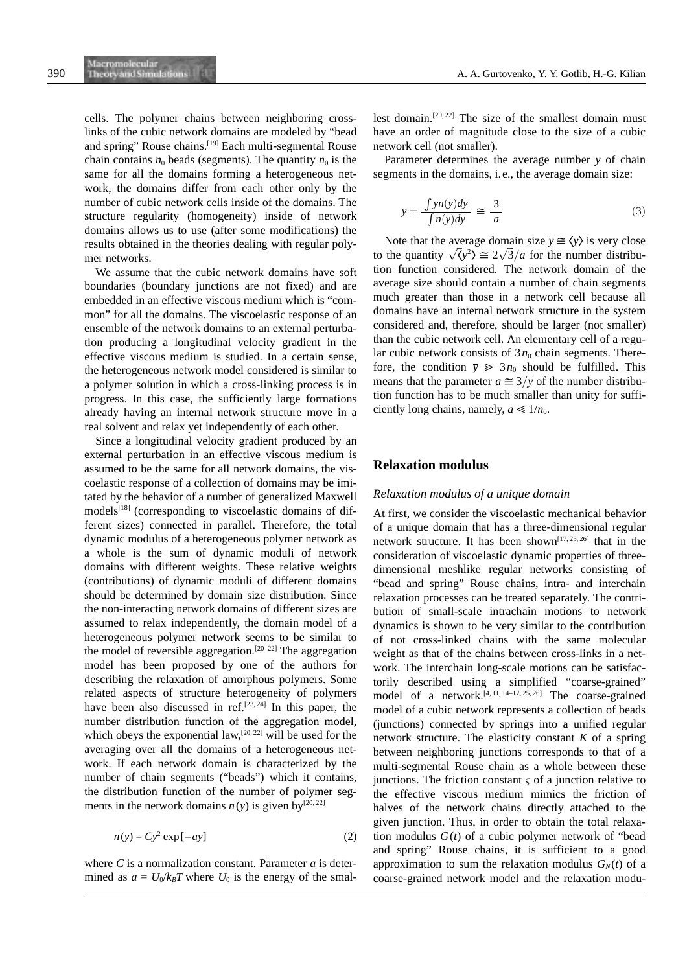cells. The polymer chains between neighboring crosslinks of the cubic network domains are modeled by "bead and spring" Rouse chains.<sup>[19]</sup> Each multi-segmental Rouse chain contains  $n_0$  beads (segments). The quantity  $n_0$  is the same for all the domains forming a heterogeneous network, the domains differ from each other only by the number of cubic network cells inside of the domains. The structure regularity (homogeneity) inside of network domains allows us to use (after some modifications) the results obtained in the theories dealing with regular polymer networks.

We assume that the cubic network domains have soft boundaries (boundary junctions are not fixed) and are embedded in an effective viscous medium which is "common" for all the domains. The viscoelastic response of an ensemble of the network domains to an external perturbation producing a longitudinal velocity gradient in the effective viscous medium is studied. In a certain sense, the heterogeneous network model considered is similar to a polymer solution in which a cross-linking process is in progress. In this case, the sufficiently large formations already having an internal network structure move in a real solvent and relax yet independently of each other.

Since a longitudinal velocity gradient produced by an external perturbation in an effective viscous medium is assumed to be the same for all network domains, the viscoelastic response of a collection of domains may be imitated by the behavior of a number of generalized Maxwell models<sup>[18]</sup> (corresponding to viscoelastic domains of different sizes) connected in parallel. Therefore, the total dynamic modulus of a heterogeneous polymer network as a whole is the sum of dynamic moduli of network domains with different weights. These relative weights (contributions) of dynamic moduli of different domains should be determined by domain size distribution. Since the non-interacting network domains of different sizes are assumed to relax independently, the domain model of a heterogeneous polymer network seems to be similar to the model of reversible aggregation.<sup>[20–22]</sup> The aggregation model has been proposed by one of the authors for describing the relaxation of amorphous polymers. Some related aspects of structure heterogeneity of polymers have been also discussed in ref.<sup>[23, 24]</sup> In this paper, the number distribution function of the aggregation model, which obeys the exponential law,  $[20, 22]$  will be used for the averaging over all the domains of a heterogeneous network. If each network domain is characterized by the number of chain segments ("beads") which it contains, the distribution function of the number of polymer segments in the network domains  $n(y)$  is given by<sup>[20, 22]</sup>

$$
n(y) = Cy^2 \exp[-ay]
$$
 (2)

where *C* is a normalization constant. Parameter *a* is determined as  $a = U_0/k_B T$  where  $U_0$  is the energy of the smallest domain.[20, 22] The size of the smallest domain must have an order of magnitude close to the size of a cubic network cell (not smaller).

Parameter determines the average number  $\bar{y}$  of chain segments in the domains, i.e., the average domain size:

$$
\overline{y} = \frac{\int yn(y)dy}{\int n(y)dy} \cong \frac{3}{a}
$$
 (3)

Note that the average domain size  $\overline{y} \cong \langle y \rangle$  is very close to the quantity  $\sqrt{\langle y^2 \rangle} \cong 2\sqrt{3}/a$  for the number distribution function considered. The network domain of the average size should contain a number of chain segments much greater than those in a network cell because all domains have an internal network structure in the system considered and, therefore, should be larger (not smaller) than the cubic network cell. An elementary cell of a regular cubic network consists of  $3n_0$  chain segments. Therefore, the condition  $\bar{y} \ge 3n_0$  should be fulfilled. This means that the parameter  $a \approx 3/\overline{y}$  of the number distribution function has to be much smaller than unity for sufficiently long chains, namely,  $a \le 1/n_0$ .

# **Relaxation modulus**

#### *Relaxation modulus of a unique domain*

At first, we consider the viscoelastic mechanical behavior of a unique domain that has a three-dimensional regular network structure. It has been shown<sup>[17, 25, 26]</sup> that in the consideration of viscoelastic dynamic properties of threedimensional meshlike regular networks consisting of "bead and spring" Rouse chains, intra- and interchain relaxation processes can be treated separately. The contribution of small-scale intrachain motions to network dynamics is shown to be very similar to the contribution of not cross-linked chains with the same molecular weight as that of the chains between cross-links in a network. The interchain long-scale motions can be satisfactorily described using a simplified "coarse-grained" model of a network.[4, 11, 14–17, 25, 26] The coarse-grained model of a cubic network represents a collection of beads (junctions) connected by springs into a unified regular network structure. The elasticity constant *K* of a spring between neighboring junctions corresponds to that of a multi-segmental Rouse chain as a whole between these junctions. The friction constant  $\varsigma$  of a junction relative to the effective viscous medium mimics the friction of halves of the network chains directly attached to the given junction. Thus, in order to obtain the total relaxation modulus *G*(*t*) of a cubic polymer network of "bead and spring" Rouse chains, it is sufficient to a good approximation to sum the relaxation modulus  $G_N(t)$  of a coarse-grained network model and the relaxation modu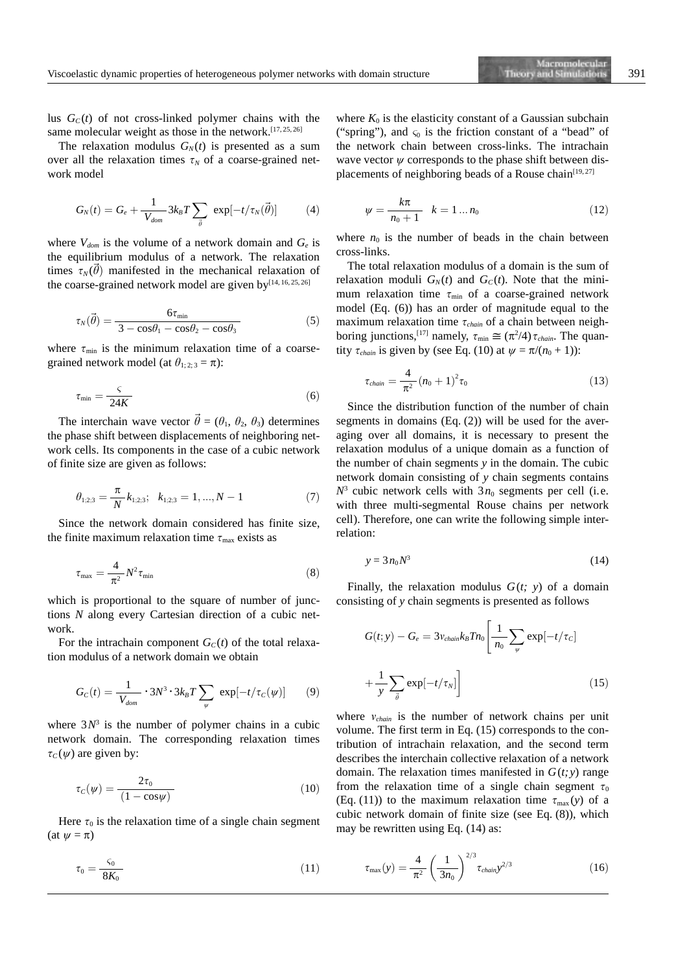lus  $G<sub>C</sub>(t)$  of not cross-linked polymer chains with the same molecular weight as those in the network.<sup>[17, 25, 26]</sup>

The relaxation modulus  $G_N(t)$  is presented as a sum over all the relaxation times  $\tau_N$  of a coarse-grained network model

$$
G_N(t) = G_e + \frac{1}{V_{dom}} 3k_B T \sum_{\vec{\theta}} \exp[-t/\tau_N(\vec{\theta})]
$$
(4)

where  $V_{dom}$  is the volume of a network domain and  $G_e$  is the equilibrium modulus of a network. The relaxation times  $\tau_N(\vec{\theta})$  manifested in the mechanical relaxation of the coarse-grained network model are given by<sup>[14, 16, 25, 26]</sup>

$$
\tau_N(\vec{\theta}) = \frac{6\tau_{\min}}{3 - \cos\theta_1 - \cos\theta_2 - \cos\theta_3} \tag{5}
$$

where  $\tau_{\min}$  is the minimum relaxation time of a coarsegrained network model (at  $\theta_{1;2;3} = \pi$ ):

$$
\tau_{\min} = \frac{S}{24K} \tag{6}
$$

The interchain wave vector  $\vec{\theta} = (\theta_1, \theta_2, \theta_3)$  determines the phase shift between displacements of neighboring network cells. Its components in the case of a cubic network of finite size are given as follows:

$$
\theta_{1;2;3} = \frac{\pi}{N} k_{1;2;3}; \quad k_{1;2;3} = 1, ..., N - 1 \tag{7}
$$

Since the network domain considered has finite size, the finite maximum relaxation time  $\tau_{\text{max}}$  exists as

$$
\tau_{\text{max}} = \frac{4}{\pi^2} N^2 \tau_{\text{min}} \tag{8}
$$

which is proportional to the square of number of junctions *N* along every Cartesian direction of a cubic network.

For the intrachain component  $G<sub>C</sub>(t)$  of the total relaxation modulus of a network domain we obtain

$$
G_C(t) = \frac{1}{V_{dom}} \cdot 3N^3 \cdot 3k_B T \sum_{\psi} \exp[-t/\tau_C(\psi)] \qquad (9)
$$

where  $3N^3$  is the number of polymer chains in a cubic network domain. The corresponding relaxation times  $\tau_C(\psi)$  are given by:

$$
\tau_C(\psi) = \frac{2\tau_0}{(1 - \cos\psi)}\tag{10}
$$

Here  $\tau_0$  is the relaxation time of a single chain segment (at  $\psi = \pi$ )

$$
\tau_0 = \frac{\varsigma_0}{8K_0} \tag{11}
$$

where  $K_0$  is the elasticity constant of a Gaussian subchain ("spring"), and  $\varsigma_0$  is the friction constant of a "bead" of the network chain between cross-links. The intrachain wave vector  $\psi$  corresponds to the phase shift between displacements of neighboring beads of a Rouse chain $[19, 27]$ 

$$
\psi = \frac{k\pi}{n_0 + 1} \quad k = 1 \dots n_0 \tag{12}
$$

where  $n_0$  is the number of beads in the chain between cross-links.

The total relaxation modulus of a domain is the sum of relaxation moduli  $G_N(t)$  and  $G_C(t)$ . Note that the minimum relaxation time  $\tau_{\min}$  of a coarse-grained network model (Eq. (6)) has an order of magnitude equal to the maximum relaxation time  $\tau_{chain}$  of a chain between neighboring junctions,<sup>[17]</sup> namely,  $\tau_{min} \cong (\pi^2/4) \tau_{chain}$ . The quantity  $\tau_{chain}$  is given by (see Eq. (10) at  $\psi = \pi/(n_0 + 1)$ ):

$$
\tau_{chain} = \frac{4}{\pi^2} (n_0 + 1)^2 \tau_0
$$
\n(13)

Since the distribution function of the number of chain segments in domains (Eq. (2)) will be used for the averaging over all domains, it is necessary to present the relaxation modulus of a unique domain as a function of the number of chain segments *y* in the domain. The cubic network domain consisting of *y* chain segments contains  $N^3$  cubic network cells with  $3n_0$  segments per cell (i.e. with three multi-segmental Rouse chains per network cell). Therefore, one can write the following simple interrelation:

$$
y = 3 n_0 N^3 \tag{14}
$$

Finally, the relaxation modulus  $G(t; y)$  of a domain consisting of *y* chain segments is presented as follows

$$
G(t; y) - G_e = 3v_{chain}k_B T n_0 \left[ \frac{1}{n_0} \sum_{\psi} \exp[-t/\tau_c] + \frac{1}{y} \sum_{\vec{\theta}} \exp[-t/\tau_w] \right]
$$
(15)

where  $v_{chain}$  is the number of network chains per unit volume. The first term in Eq. (15) corresponds to the contribution of intrachain relaxation, and the second term describes the interchain collective relaxation of a network domain. The relaxation times manifested in  $G(t; y)$  range from the relaxation time of a single chain segment  $\tau_0$ (Eq. (11)) to the maximum relaxation time  $\tau_{\text{max}}(y)$  of a cubic network domain of finite size (see Eq. (8)), which may be rewritten using Eq. (14) as:

$$
\tau_{\text{max}}(y) = \frac{4}{\pi^2} \left(\frac{1}{3n_0}\right)^{2/3} \tau_{chain} y^{2/3}
$$
 (16)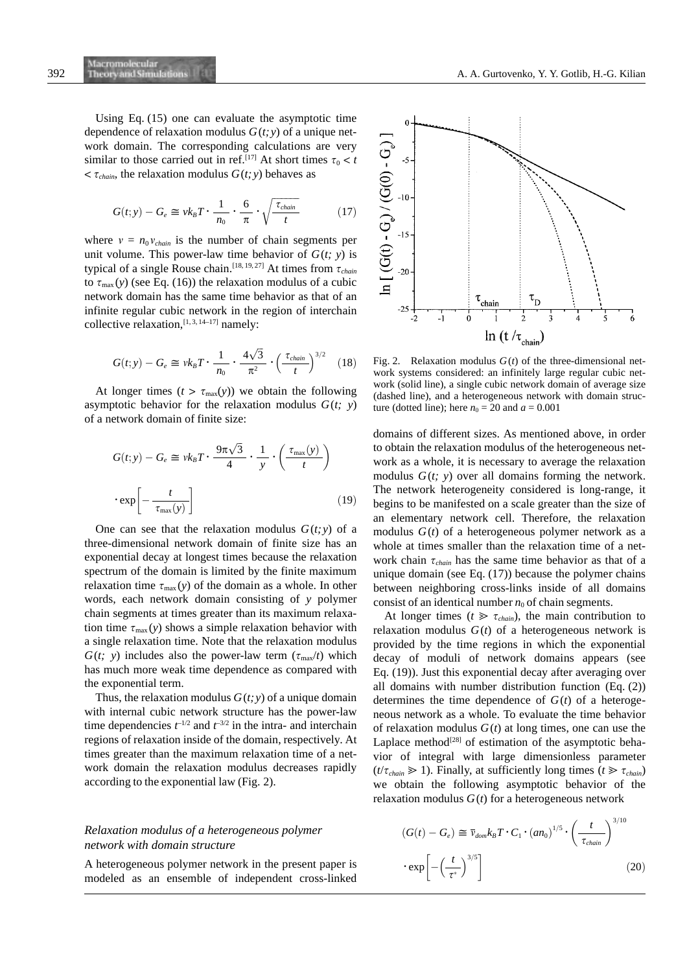Using Eq. (15) one can evaluate the asymptotic time dependence of relaxation modulus  $G(t; y)$  of a unique network domain. The corresponding calculations are very similar to those carried out in ref.<sup>[17]</sup> At short times  $\tau_0 < t$  $\langle \tau_{chain} \rangle$ , the relaxation modulus  $G(t; y)$  behaves as

$$
G(t; y) - G_e \cong v k_B T \cdot \frac{1}{n_0} \cdot \frac{6}{\pi} \cdot \sqrt{\frac{\tau_{chain}}{t}}
$$
 (17)

where  $v = n_0 v_{chain}$  is the number of chain segments per unit volume. This power-law time behavior of  $G(t; y)$  is typical of a single Rouse chain.<sup>[18, 19, 27]</sup> At times from  $\tau_{chain}$ to  $\tau_{\text{max}}(y)$  (see Eq. (16)) the relaxation modulus of a cubic network domain has the same time behavior as that of an infinite regular cubic network in the region of interchain collective relaxation.  $[1, 3, 14-17]$  namely:

$$
G(t; y) - G_e \cong v k_B T \cdot \frac{1}{n_0} \cdot \frac{4\sqrt{3}}{\pi^2} \cdot \left(\frac{\tau_{chain}}{t}\right)^{3/2} \tag{18}
$$

At longer times  $(t > \tau_{max}(y))$  we obtain the following asymptotic behavior for the relaxation modulus  $G(t; y)$ of a network domain of finite size:

$$
G(t; y) - G_e \cong v k_B T \cdot \frac{9\pi\sqrt{3}}{4} \cdot \frac{1}{y} \cdot \left(\frac{\tau_{\text{max}}(y)}{t}\right)
$$

$$
\cdot \exp\left[-\frac{t}{\tau_{\text{max}}(y)}\right]
$$
(19)

One can see that the relaxation modulus  $G(t; y)$  of a three-dimensional network domain of finite size has an exponential decay at longest times because the relaxation spectrum of the domain is limited by the finite maximum relaxation time  $\tau_{\text{max}}(y)$  of the domain as a whole. In other words, each network domain consisting of *y* polymer chain segments at times greater than its maximum relaxation time  $\tau_{\text{max}}(y)$  shows a simple relaxation behavior with a single relaxation time. Note that the relaxation modulus  $G(t; y)$  includes also the power-law term  $(\tau_{\text{max}}/t)$  which has much more weak time dependence as compared with the exponential term.

Thus, the relaxation modulus  $G(t; y)$  of a unique domain with internal cubic network structure has the power-law time dependencies  $t^{-1/2}$  and  $t^{-3/2}$  in the intra- and interchain regions of relaxation inside of the domain, respectively. At times greater than the maximum relaxation time of a network domain the relaxation modulus decreases rapidly according to the exponential law (Fig. 2).

### *Relaxation modulus of a heterogeneous polymer network with domain structure*

A heterogeneous polymer network in the present paper is modeled as an ensemble of independent cross-linked



Fig. 2. Relaxation modulus *G*(*t*) of the three-dimensional network systems considered: an infinitely large regular cubic network (solid line), a single cubic network domain of average size (dashed line), and a heterogeneous network with domain structure (dotted line); here  $n_0 = 20$  and  $a = 0.001$ 

domains of different sizes. As mentioned above, in order to obtain the relaxation modulus of the heterogeneous network as a whole, it is necessary to average the relaxation modulus  $G(t; y)$  over all domains forming the network. The network heterogeneity considered is long-range, it begins to be manifested on a scale greater than the size of an elementary network cell. Therefore, the relaxation modulus  $G(t)$  of a heterogeneous polymer network as a whole at times smaller than the relaxation time of a network chain  $\tau_{chain}$  has the same time behavior as that of a unique domain (see Eq. (17)) because the polymer chains between neighboring cross-links inside of all domains consist of an identical number  $n_0$  of chain segments.

At longer times ( $t \ge \tau_{chain}$ ), the main contribution to relaxation modulus  $G(t)$  of a heterogeneous network is provided by the time regions in which the exponential decay of moduli of network domains appears (see Eq. (19)). Just this exponential decay after averaging over all domains with number distribution function (Eq. (2)) determines the time dependence of  $G(t)$  of a heterogeneous network as a whole. To evaluate the time behavior of relaxation modulus  $G(t)$  at long times, one can use the Laplace method<sup>[28]</sup> of estimation of the asymptotic behavior of integral with large dimensionless parameter  $(t/\tau_{chain} \geq 1)$ . Finally, at sufficiently long times  $(t \geq \tau_{chain})$ we obtain the following asymptotic behavior of the relaxation modulus *G*(*t*) for a heterogeneous network

$$
(G(t) - G_e) \cong \overline{v}_{dom} k_B T \cdot C_1 \cdot (an_0)^{1/5} \cdot \left(\frac{t}{\tau_{chain}}\right)^{3/10}
$$

$$
\cdot \exp\left[-\left(\frac{t}{\tau^*}\right)^{3/5}\right]
$$
(20)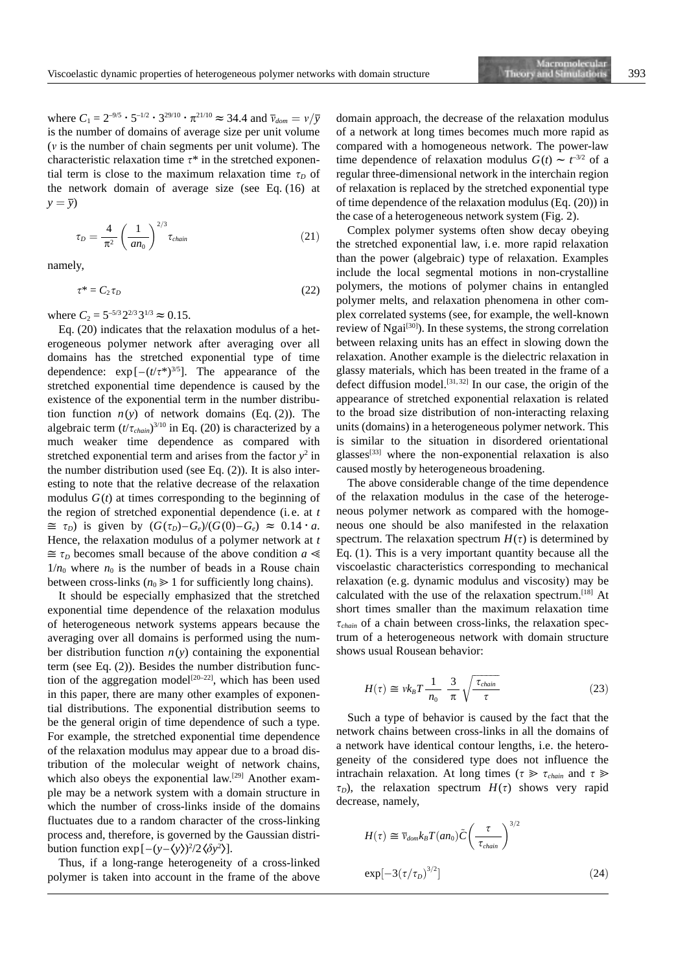where  $C_1 = 2^{-9/5} \cdot 5^{-1/2} \cdot 3^{29/10} \cdot \pi^{21/10} \approx 34.4$  and  $\overline{v}_{dom} = v/\overline{y}$ is the number of domains of average size per unit volume  $(v)$  is the number of chain segments per unit volume). The characteristic relaxation time  $\tau^*$  in the stretched exponential term is close to the maximum relaxation time  $\tau_D$  of the network domain of average size (see Eq. (16) at  $y = \overline{y}$ 

$$
\tau_D = \frac{4}{\pi^2} \left(\frac{1}{an_0}\right)^{2/3} \tau_{chain} \tag{21}
$$

namely,

$$
\tau^* = C_2 \tau_D \tag{22}
$$

where  $C_2 = 5^{-5/3} 2^{2/3} 3^{1/3} \approx 0.15$ .

Eq. (20) indicates that the relaxation modulus of a heterogeneous polymer network after averaging over all domains has the stretched exponential type of time dependence:  $\exp[-(t/\tau^*)^{3/5}]$ . The appearance of the stretched exponential time dependence is caused by the existence of the exponential term in the number distribution function  $n(y)$  of network domains (Eq. (2)). The algebraic term  $(t/\tau_{chain})^{3/10}$  in Eq. (20) is characterized by a much weaker time dependence as compared with stretched exponential term and arises from the factor  $y^2$  in the number distribution used (see Eq. (2)). It is also interesting to note that the relative decrease of the relaxation modulus  $G(t)$  at times corresponding to the beginning of the region of stretched exponential dependence (i. e. at *t*  $\cong \tau_D$ ) is given by  $(G(\tau_D) - G_e)/(G(0) - G_e) \approx 0.14 \cdot a$ . Hence, the relaxation modulus of a polymer network at *t*  $\approx \tau_p$  becomes small because of the above condition *a*  $\leq$  $1/n_0$  where  $n_0$  is the number of beads in a Rouse chain between cross-links ( $n_0 \geq 1$  for sufficiently long chains).

It should be especially emphasized that the stretched exponential time dependence of the relaxation modulus of heterogeneous network systems appears because the averaging over all domains is performed using the number distribution function  $n(y)$  containing the exponential term (see Eq. (2)). Besides the number distribution function of the aggregation model<sup>[20–22]</sup>, which has been used in this paper, there are many other examples of exponential distributions. The exponential distribution seems to be the general origin of time dependence of such a type. For example, the stretched exponential time dependence of the relaxation modulus may appear due to a broad distribution of the molecular weight of network chains, which also obeys the exponential law.<sup>[29]</sup> Another example may be a network system with a domain structure in which the number of cross-links inside of the domains fluctuates due to a random character of the cross-linking process and, therefore, is governed by the Gaussian distribution function  $\exp[-(y-\langle y \rangle)^2/2\langle \delta y^2 \rangle]$ .

Thus, if a long-range heterogeneity of a cross-linked polymer is taken into account in the frame of the above domain approach, the decrease of the relaxation modulus of a network at long times becomes much more rapid as compared with a homogeneous network. The power-law time dependence of relaxation modulus  $G(t) \sim t^{-3/2}$  of a regular three-dimensional network in the interchain region of relaxation is replaced by the stretched exponential type of time dependence of the relaxation modulus (Eq. (20)) in the case of a heterogeneous network system (Fig. 2).

Complex polymer systems often show decay obeying the stretched exponential law, i.e. more rapid relaxation than the power (algebraic) type of relaxation. Examples include the local segmental motions in non-crystalline polymers, the motions of polymer chains in entangled polymer melts, and relaxation phenomena in other complex correlated systems (see, for example, the well-known review of Ngai<sup>[30]</sup>). In these systems, the strong correlation between relaxing units has an effect in slowing down the relaxation. Another example is the dielectric relaxation in glassy materials, which has been treated in the frame of a defect diffusion model.<sup>[31, 32]</sup> In our case, the origin of the appearance of stretched exponential relaxation is related to the broad size distribution of non-interacting relaxing units (domains) in a heterogeneous polymer network. This is similar to the situation in disordered orientational glasses<sup>[33]</sup> where the non-exponential relaxation is also caused mostly by heterogeneous broadening.

The above considerable change of the time dependence of the relaxation modulus in the case of the heterogeneous polymer network as compared with the homogeneous one should be also manifested in the relaxation spectrum. The relaxation spectrum  $H(\tau)$  is determined by Eq. (1). This is a very important quantity because all the viscoelastic characteristics corresponding to mechanical relaxation (e.g. dynamic modulus and viscosity) may be calculated with the use of the relaxation spectrum.[18] At short times smaller than the maximum relaxation time  $\tau_{chain}$  of a chain between cross-links, the relaxation spectrum of a heterogeneous network with domain structure shows usual Rousean behavior:

$$
H(\tau) \cong v k_B T \frac{1}{n_0} \frac{3}{\pi} \sqrt{\frac{\tau_{chain}}{\tau}}
$$
 (23)

Such a type of behavior is caused by the fact that the network chains between cross-links in all the domains of a network have identical contour lengths, i.e. the heterogeneity of the considered type does not influence the intrachain relaxation. At long times ( $\tau \gg \tau_{chain}$  and  $\tau \gg$  $\tau_D$ ), the relaxation spectrum  $H(\tau)$  shows very rapid decrease, namely,

$$
H(\tau) \cong \overline{\nu}_{dom} k_B T(an_0) \tilde{C} \left(\frac{\tau}{\tau_{chain}}\right)^{3/2}
$$

$$
\exp[-3(\tau/\tau_D)^{3/2}] \tag{24}
$$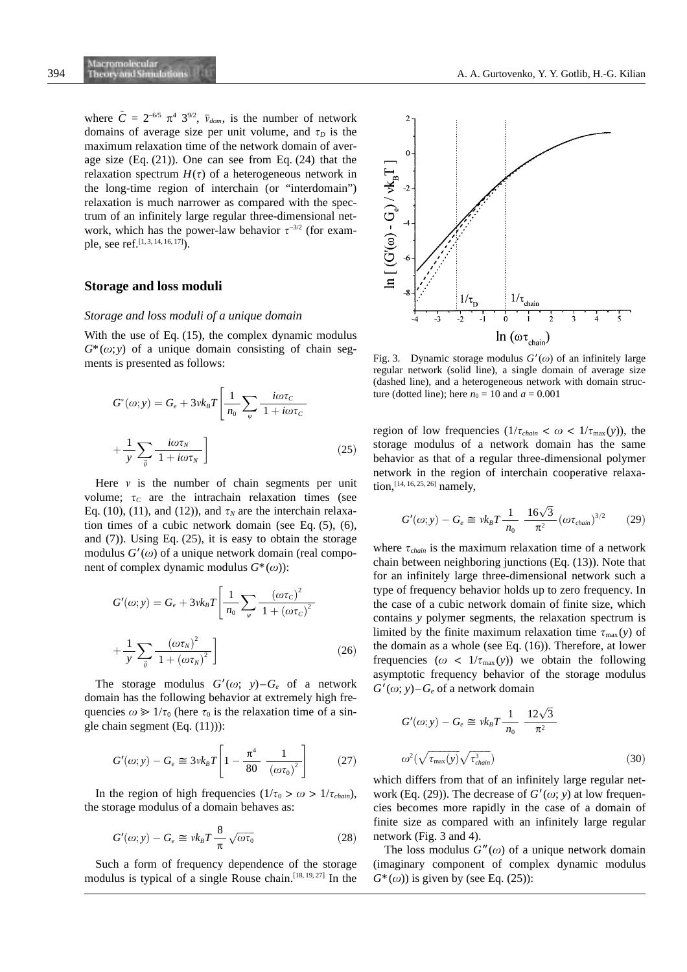where  $\tilde{C} = 2^{-6/5} \pi^4 3^{9/2}$ ,  $\overline{v}_{dom}$ , is the number of network domains of average size per unit volume, and  $\tau_D$  is the maximum relaxation time of the network domain of average size  $(Eq. (21))$ . One can see from Eq.  $(24)$  that the relaxation spectrum  $H(\tau)$  of a heterogeneous network in the long-time region of interchain (or "interdomain") relaxation is much narrower as compared with the spectrum of an infinitely large regular three-dimensional network, which has the power-law behavior  $\tau^{-3/2}$  (for example, see ref.[1, 3, 14, 16, 17]).

#### **Storage and loss moduli**

#### *Storage and loss moduli of a unique domain*

With the use of Eq. (15), the complex dynamic modulus  $G^*(\omega; y)$  of a unique domain consisting of chain segments is presented as follows:

$$
G^*(\omega; y) = G_e + 3\nu k_B T \left[ \frac{1}{n_0} \sum_{\psi} \frac{i\omega \tau_c}{1 + i\omega \tau_c} + \frac{1}{y} \sum_{\vec{\theta}} \frac{i\omega \tau_N}{1 + i\omega \tau_N} \right]
$$
(25)

Here  $\nu$  is the number of chain segments per unit volume;  $\tau_c$  are the intrachain relaxation times (see Eq. (10), (11), and (12)), and  $\tau_N$  are the interchain relaxation times of a cubic network domain (see Eq. (5), (6), and (7)). Using Eq. (25), it is easy to obtain the storage modulus  $G'(\omega)$  of a unique network domain (real component of complex dynamic modulus  $G^*(\omega)$ :

$$
G'(\omega; y) = G_e + 3v k_B T \left[ \frac{1}{n_0} \sum_{\psi} \frac{(\omega \tau_c)^2}{1 + (\omega \tau_c)^2} + \frac{1}{y} \sum_{\vec{\theta}} \frac{(\omega \tau_N)^2}{1 + (\omega \tau_N)^2} \right]
$$
(26)

The storage modulus  $G'(\omega; y) - G_e$  of a network domain has the following behavior at extremely high frequencies  $\omega \geq 1/\tau_0$  (here  $\tau_0$  is the relaxation time of a single chain segment (Eq. (11))):

$$
G'(\omega; y) - G_e \cong 3vk_B T \left[ 1 - \frac{\pi^4}{80} \frac{1}{\left(\omega \tau_0\right)^2} \right] \tag{27}
$$

In the region of high frequencies  $(1/\tau_0 > \omega > 1/\tau_{chain})$ , the storage modulus of a domain behaves as:

$$
G'(\omega; y) - G_e \cong v k_B T \frac{8}{\pi} \sqrt{\omega \tau_0}
$$
 (28)

Such a form of frequency dependence of the storage modulus is typical of a single Rouse chain. [18, 19, 27] In the



Fig. 3. Dynamic storage modulus  $G'(\omega)$  of an infinitely large regular network (solid line), a single domain of average size (dashed line), and a heterogeneous network with domain structure (dotted line); here  $n_0 = 10$  and  $a = 0.001$ 

region of low frequencies  $(1/\tau_{chain} < \omega < 1/\tau_{max}(y))$ , the storage modulus of a network domain has the same behavior as that of a regular three-dimensional polymer network in the region of interchain cooperative relaxation, [14, 16, 25, 26] namely,

$$
G'(\omega; y) - G_e \cong v k_B T \frac{1}{n_0} \frac{16\sqrt{3}}{\pi^2} (\omega \tau_{chain})^{3/2}
$$
 (29)

where  $\tau_{chain}$  is the maximum relaxation time of a network chain between neighboring junctions (Eq. (13)). Note that for an infinitely large three-dimensional network such a type of frequency behavior holds up to zero frequency. In the case of a cubic network domain of finite size, which contains *y* polymer segments, the relaxation spectrum is limited by the finite maximum relaxation time  $\tau_{\text{max}}(y)$  of the domain as a whole (see Eq. (16)). Therefore, at lower frequencies ( $\omega$  < 1/ $\tau_{\text{max}}$ (y)) we obtain the following asymptotic frequency behavior of the storage modulus  $G'(\omega; y)$ – $G_e$  of a network domain

$$
G'(\omega; y) - G_e \cong v k_B T \frac{1}{n_0} \frac{12\sqrt{3}}{\pi^2}
$$

$$
\omega^2(\sqrt{\tau_{\text{max}}(y)}\sqrt{\tau_{\text{chain}}^3})
$$
(30)

which differs from that of an infinitely large regular network (Eq. (29)). The decrease of  $G'(\omega; y)$  at low frequencies becomes more rapidly in the case of a domain of finite size as compared with an infinitely large regular network (Fig. 3 and 4).

The loss modulus  $G''(\omega)$  of a unique network domain (imaginary component of complex dynamic modulus  $G^*(\omega)$  is given by (see Eq. (25)):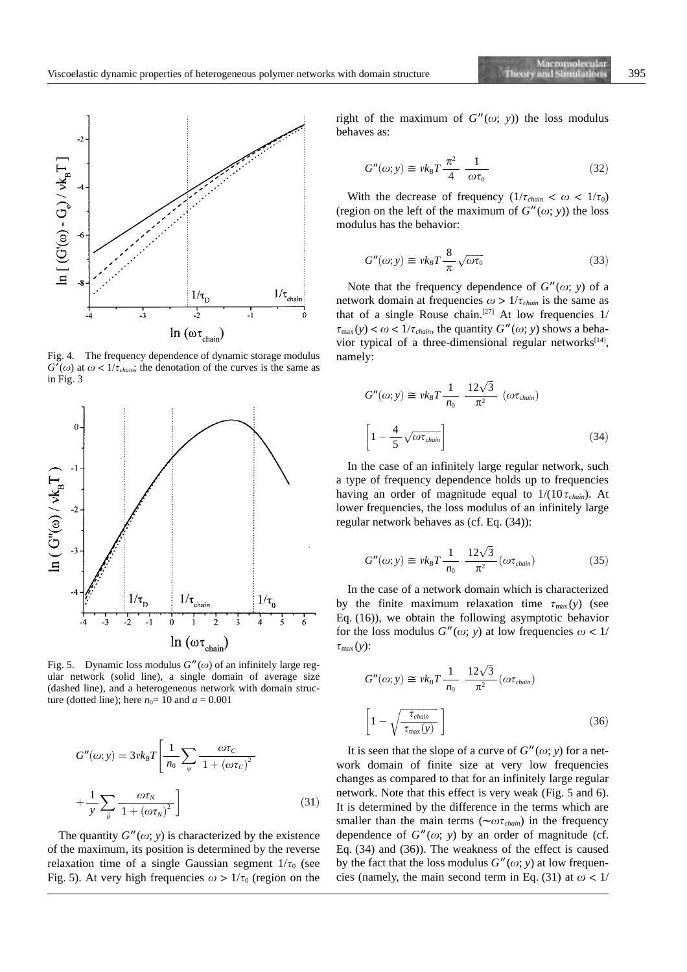

Fig. 4. The frequency dependence of dynamic storage modulus  $G'(\omega)$  at  $\omega < 1/\tau_{chain}$ ; the denotation of the curves is the same as in Fig. 3



Fig. 5. Dynamic loss modulus  $G''(\omega)$  of an infinitely large regular network (solid line), a single domain of average size (dashed line), and a heterogeneous network with domain structure (dotted line); here  $n_0$ = 10 and  $a$  = 0.001

$$
G''(\omega; y) = 3\nu k_B T \left[ \frac{1}{n_0} \sum_{\psi} \frac{\omega \tau_C}{1 + (\omega \tau_C)^2} + \frac{1}{y} \sum_{\vec{\theta}} \frac{\omega \tau_N}{1 + (\omega \tau_N)^2} \right]
$$
(31)

The quantity  $G''(\omega; y)$  is characterized by the existence of the maximum, its position is determined by the reverse relaxation time of a single Gaussian segment  $1/\tau_0$  (see Fig. 5). At very high frequencies  $\omega > 1/\tau_0$  (region on the

right of the maximum of  $G''(\omega; y)$ ) the loss modulus behaves as:

$$
G''(\omega; y) \cong v k_B T \frac{\pi^2}{4} \frac{1}{\omega \tau_0} \tag{32}
$$

With the decrease of frequency  $(1/\tau_{chain} < \omega < 1/\tau_0)$ (region on the left of the maximum of  $G''(\omega; v)$ ) the loss modulus has the behavior:

$$
G''(\omega; y) \cong v k_B T \frac{8}{\pi} \sqrt{\omega \tau_0} \tag{33}
$$

Note that the frequency dependence of  $G''(\omega; y)$  of a network domain at frequencies  $\omega > 1/\tau_{chain}$  is the same as that of a single Rouse chain.<sup>[27]</sup> At low frequencies  $1/$  $\tau_{\text{max}}(y) < \omega < 1/\tau_{chain}$ , the quantity  $G''(\omega; y)$  shows a behavior typical of a three-dimensional regular networks $^{[14]}$ , namely:

$$
G''(\omega; y) \cong v k_B T \frac{1}{n_0} \frac{12\sqrt{3}}{\pi^2} \left(\omega \tau_{chain}\right)
$$

$$
\left[1 - \frac{4}{5} \sqrt{\omega \tau_{chain}}\right]
$$
(34)

In the case of an infinitely large regular network, such a type of frequency dependence holds up to frequencies having an order of magnitude equal to  $1/(10\tau_{chain})$ . At lower frequencies, the loss modulus of an infinitely large regular network behaves as (cf. Eq. (34)):

$$
G''(\omega; y) \cong v k_B T \frac{1}{n_0} \frac{12\sqrt{3}}{\pi^2} (\omega \tau_{chain})
$$
 (35)

In the case of a network domain which is characterized by the finite maximum relaxation time  $\tau_{\text{max}}(y)$  (see Eq. (16)), we obtain the following asymptotic behavior for the loss modulus  $G''(\omega; y)$  at low frequencies  $\omega < 1/$  $\tau_{\text{max}}(y)$ :

$$
G''(\omega; y) \cong v k_B T \frac{1}{n_0} \frac{12\sqrt{3}}{\pi^2} (\omega \tau_{chain})
$$

$$
\left[1 - \sqrt{\frac{\tau_{chain}}{\tau_{max}(y)}}\right]
$$
(36)

It is seen that the slope of a curve of  $G''(\omega; y)$  for a network domain of finite size at very low frequencies changes as compared to that for an infinitely large regular network. Note that this effect is very weak (Fig. 5 and 6). It is determined by the difference in the terms which are smaller than the main terms  $(\sim \omega \tau_{chain})$  in the frequency dependence of  $G''(\omega; y)$  by an order of magnitude (cf. Eq. (34) and (36)). The weakness of the effect is caused by the fact that the loss modulus  $G''(\omega; y)$  at low frequencies (namely, the main second term in Eq. (31) at  $\omega$  < 1/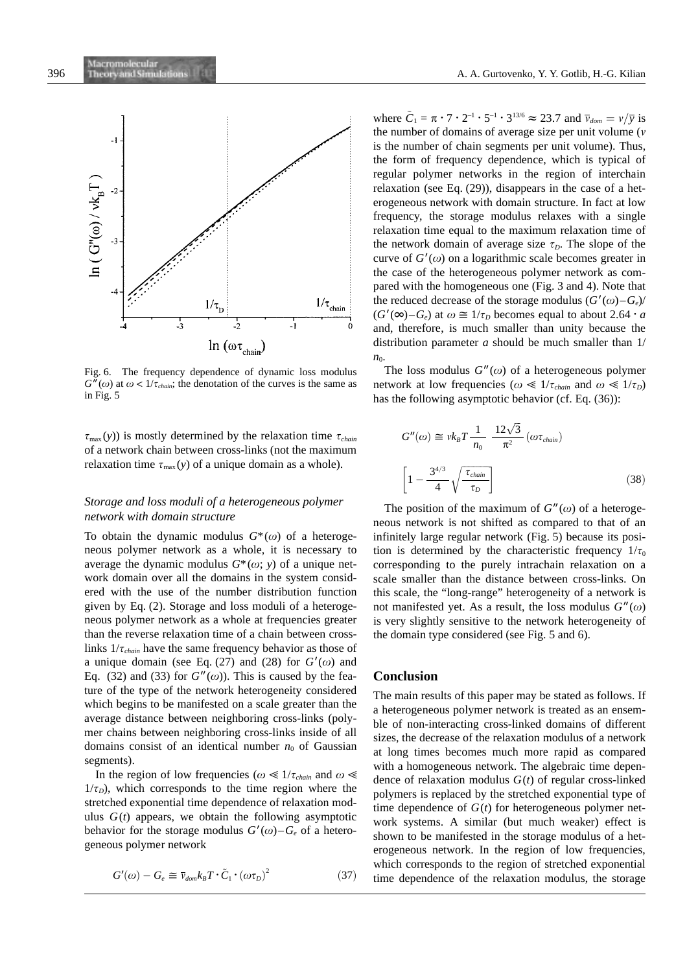

Fig. 6. The frequency dependence of dynamic loss modulus  $G''(\omega)$  at  $\omega < 1/\tau_{chain}$ ; the denotation of the curves is the same as in Fig. 5

 $\tau_{\text{max}}(y)$ ) is mostly determined by the relaxation time  $\tau_{chain}$ of a network chain between cross-links (not the maximum relaxation time  $\tau_{\text{max}}(y)$  of a unique domain as a whole).

# *Storage and loss moduli of a heterogeneous polymer network with domain structure*

To obtain the dynamic modulus  $G^*(\omega)$  of a heterogeneous polymer network as a whole, it is necessary to average the dynamic modulus  $G^*(\omega; y)$  of a unique network domain over all the domains in the system considered with the use of the number distribution function given by Eq. (2). Storage and loss moduli of a heterogeneous polymer network as a whole at frequencies greater than the reverse relaxation time of a chain between crosslinks  $1/\tau_{chain}$  have the same frequency behavior as those of a unique domain (see Eq. (27) and (28) for  $G'(\omega)$  and Eq. (32) and (33) for  $G''(\omega)$ ). This is caused by the feature of the type of the network heterogeneity considered which begins to be manifested on a scale greater than the average distance between neighboring cross-links (polymer chains between neighboring cross-links inside of all domains consist of an identical number  $n_0$  of Gaussian segments).

In the region of low frequencies ( $\omega \ll 1/\tau_{chain}$  and  $\omega \ll$  $1/\tau_D$ ), which corresponds to the time region where the stretched exponential time dependence of relaxation modulus  $G(t)$  appears, we obtain the following asymptotic behavior for the storage modulus  $G'(\omega)$ – $G_e$  of a heterogeneous polymer network

$$
G'(\omega) - G_e \cong \overline{v}_{dom} k_B T \cdot \tilde{C}_1 \cdot (\omega \tau_D)^2 \tag{37}
$$

where  $\tilde{C}_1 = \pi \cdot 7 \cdot 2^{-1} \cdot 5^{-1} \cdot 3^{13/6} \approx 23.7$  and  $\overline{v}_{dom} = v/\overline{y}$  is the number of domains of average size per unit volume  $(v)$ is the number of chain segments per unit volume). Thus, the form of frequency dependence, which is typical of regular polymer networks in the region of interchain relaxation (see Eq. (29)), disappears in the case of a heterogeneous network with domain structure. In fact at low frequency, the storage modulus relaxes with a single relaxation time equal to the maximum relaxation time of the network domain of average size  $\tau_D$ . The slope of the curve of  $G'(\omega)$  on a logarithmic scale becomes greater in the case of the heterogeneous polymer network as compared with the homogeneous one (Fig. 3 and 4). Note that the reduced decrease of the storage modulus  $(G'(\omega)-G_e)$  $(G'(\infty)-G_e)$  at  $\omega \cong 1/\tau_D$  becomes equal to about 2.64  $\cdot$  *a* and, therefore, is much smaller than unity because the distribution parameter *a* should be much smaller than 1/ *n*<sub>0</sub>.

The loss modulus  $G''(\omega)$  of a heterogeneous polymer network at low frequencies ( $\omega \ll 1/\tau_{chain}$  and  $\omega \ll 1/\tau_D$ ) has the following asymptotic behavior (cf. Eq. (36)):

$$
G''(\omega) \cong v k_B T \frac{1}{n_0} \frac{12\sqrt{3}}{\pi^2} (\omega \tau_{chain})
$$

$$
\left[1 - \frac{3^{4/3}}{4} \sqrt{\frac{\tau_{chain}}{\tau_D}}\right]
$$
(38)

The position of the maximum of  $G''(\omega)$  of a heterogeneous network is not shifted as compared to that of an infinitely large regular network (Fig. 5) because its position is determined by the characteristic frequency  $1/\tau_0$ corresponding to the purely intrachain relaxation on a scale smaller than the distance between cross-links. On this scale, the "long-range" heterogeneity of a network is not manifested yet. As a result, the loss modulus  $G''(\omega)$ is very slightly sensitive to the network heterogeneity of the domain type considered (see Fig. 5 and 6).

#### **Conclusion**

The main results of this paper may be stated as follows. If a heterogeneous polymer network is treated as an ensemble of non-interacting cross-linked domains of different sizes, the decrease of the relaxation modulus of a network at long times becomes much more rapid as compared with a homogeneous network. The algebraic time dependence of relaxation modulus *G*(*t*) of regular cross-linked polymers is replaced by the stretched exponential type of time dependence of  $G(t)$  for heterogeneous polymer network systems. A similar (but much weaker) effect is shown to be manifested in the storage modulus of a heterogeneous network. In the region of low frequencies, which corresponds to the region of stretched exponential time dependence of the relaxation modulus, the storage